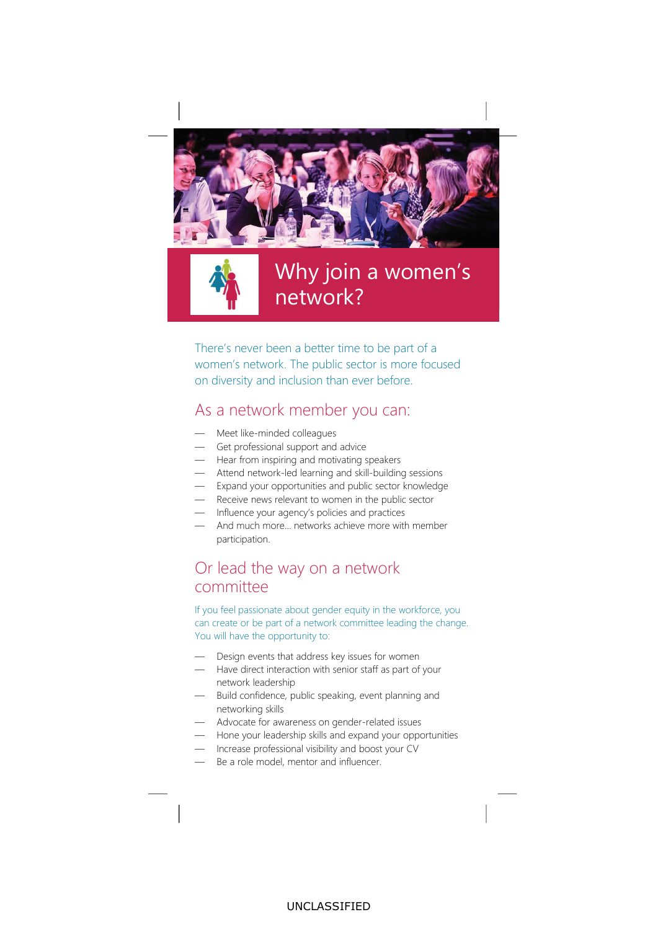



## Why join a women's network?

There's never been a better time to be part of a women's network. The public sector is more focused on diversity and inclusion than ever before.

#### As a network member you can:

- Meet like-minded colleagues
- Get professional support and advice
- Hear from inspiring and motivating speakers
- Attend network-led learning and skill-building sessions
- Expand your opportunities and public sector knowledge
- Receive news relevant to women in the public sector
- Influence your agency's policies and practices
- And much more... networks achieve more with member participation.

#### Or lead the way on a network committee

If you feel passionate about gender equity in the workforce, you can create or be part of a network committee leading the change. You will have the opportunity to:

- Design events that address key issues for women
- Have direct interaction with senior staff as part of your network leadership
- Build confidence, public speaking, event planning and networking skills
- Advocate for awareness on gender-related issues
- Hone your leadership skills and expand your opportunities
- Increase professional visibility and boost your CV
- Be a role model, mentor and influencer.